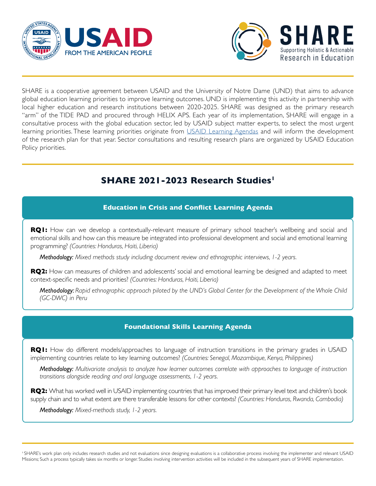



SHARE is a cooperative agreement between USAID and the University of Notre Dame (UND) that aims to advance global education learning priorities to improve learning outcomes. UND is implementing this activity in partnership with local higher education and research institutions between 2020-2025. SHARE was designed as the primary research "arm" of the TIDE PAD and procured through HELIX APS. Each year of its implementation, SHARE will engage in a consultative process with the global education sector, led by USAID subject matter experts, to select the most urgent learning priorities. These learning priorities originate from *USAID Learning Agendas* and will inform the development of the research plan for that year. Sector consultations and resulting research plans are organized by USAID Education Policy priorities.

# **SHARE 2021-2023 Research Studies1**

## **Education in Crisis and Conflict Learning Agenda**

**RQ1:** How can we develop a contextually-relevant measure of primary school teacher's wellbeing and social and emotional skills and how can this measure be integrated into professional development and social and emotional learning programming? *(Countries: Honduras, Haiti, Liberia)*

*Methodology: Mixed methods study including document review and ethnographic interviews, 1-2 years.*

**RQ2:** How can measures of children and adolescents' social and emotional learning be designed and adapted to meet context-specific needs and priorities? *(Countries: Honduras, Haiti, Liberia)*

*Methodology: Rapid ethnographic approach piloted by the UND's Global Center for the Development of the Whole Child (GC-DWC) in Peru*

## **Foundational Skills Learning Agenda**

**RQ1:** How do different models/approaches to language of instruction transitions in the primary grades in USAID implementing countries relate to key learning outcomes? *(Countries: Senegal, Mozambique, Kenya, Philippines)*

*Methodology: Multivariate analysis to analyze how learner outcomes correlate with approaches to language of instruction transitions alongside reading and oral language assessments, 1-2 years.*

**RQ2:** What has worked well in USAID implementing countries that has improved their primary level text and children's book supply chain and to what extent are there transferable lessons for other contexts? *(Countries: Honduras, Rwanda, Cambodia)*

*Methodology: Mixed-methods study, 1-2 years.*

<sup>1</sup> SHARE's work plan only includes research studies and not evaluations since designing evaluations is a collaborative process involving the implementer and relevant USAID Missions; Such a process typically takes six months or longer. Studies involving intervention activities will be included in the subsequent years of SHARE implementation.